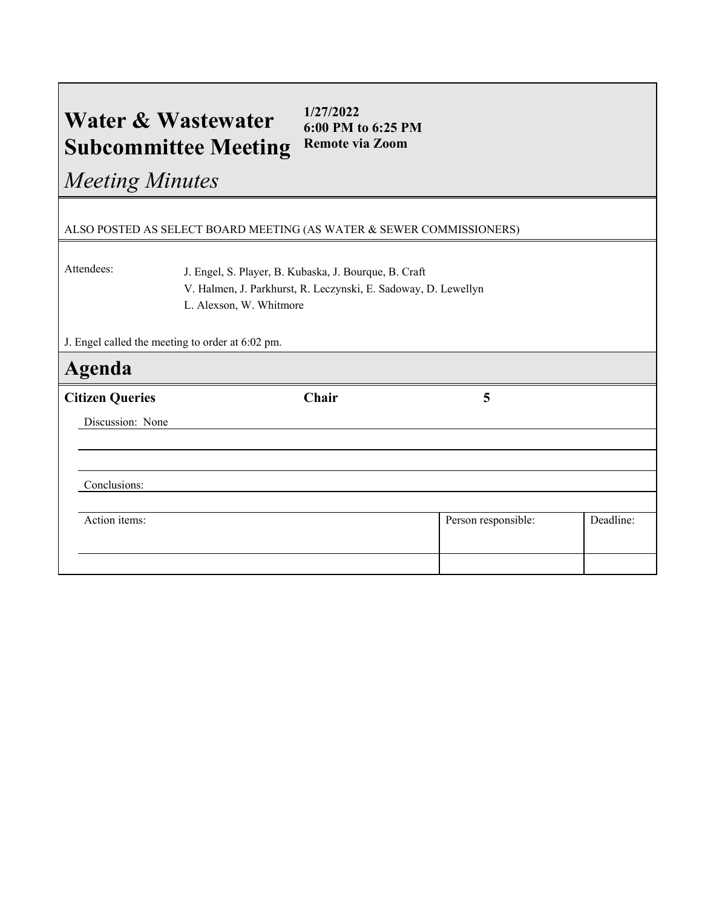## **Water & Wastewater Subcommittee Meeting 1/27/2022 6:00 PM to 6:25 PM Remote via Zoom**

*Meeting Minutes*

## ALSO POSTED AS SELECT BOARD MEETING (AS WATER & SEWER COMMISSIONERS)

Attendees: J. Engel, S. Player, B. Kubaska, J. Bourque, B. Craft V. Halmen, J. Parkhurst, R. Leczynski, E. Sadoway, D. Lewellyn L. Alexson, W. Whitmore

J. Engel called the meeting to order at 6:02 pm.

| <b>Agenda</b>          |       |                     |           |
|------------------------|-------|---------------------|-----------|
| <b>Citizen Queries</b> | Chair | 5                   |           |
| Discussion: None       |       |                     |           |
|                        |       |                     |           |
|                        |       |                     |           |
| Conclusions:           |       |                     |           |
|                        |       |                     |           |
| Action items:          |       | Person responsible: | Deadline: |
|                        |       |                     |           |
|                        |       |                     |           |